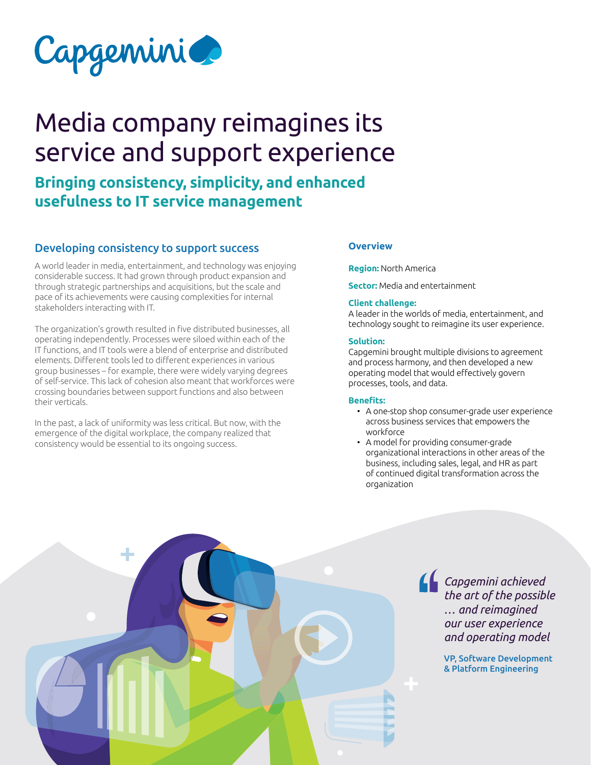

# Media company reimagines its service and support experience

## **Bringing consistency, simplicity, and enhanced usefulness to IT service management**

#### Developing consistency to support success

A world leader in media, entertainment, and technology was enjoying considerable success. It had grown through product expansion and through strategic partnerships and acquisitions, but the scale and pace of its achievements were causing complexities for internal stakeholders interacting with IT.

The organization's growth resulted in five distributed businesses, all operating independently. Processes were siloed within each of the IT functions, and IT tools were a blend of enterprise and distributed elements. Different tools led to different experiences in various group businesses – for example, there were widely varying degrees of self-service. This lack of cohesion also meant that workforces were crossing boundaries between support functions and also between their verticals.

In the past, a lack of uniformity was less critical. But now, with the emergence of the digital workplace, the company realized that consistency would be essential to its ongoing success.

#### **Overview**

**Region:** North America

**Sector:** Media and entertainment

#### **Client challenge:**

A leader in the worlds of media, entertainment, and technology sought to reimagine its user experience.

#### **Solution:**

Capgemini brought multiple divisions to agreement and process harmony, and then developed a new operating model that would effectively govern processes, tools, and data.

#### **Benefits:**

- A one-stop shop consumer-grade user experience across business services that empowers the workforce
- A model for providing consumer-grade organizational interactions in other areas of the business, including sales, legal, and HR as part of continued digital transformation across the organization

*Capgemini achieved the art of the possible … and reimagined our user experience and operating model*

> VP, Software Development & Platform Engineering